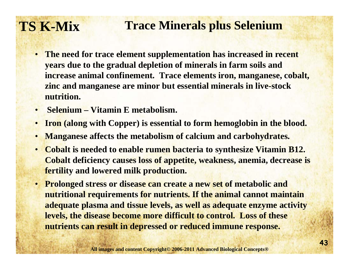### **TS K-Mix Trace Minerals plus Selenium**

- **The need for trace element supplementation has increased in recent years due to the gradual depletion of minerals in farm soils and increase animal confinement. Trace elements iron, manganese, cobalt, zinc and manganese are minor but essential minerals in live-stock nutrition.**
- $\bullet$ **Selenium – Vitamin E metabolism.**
- •**Iron (along with Copper) is essential to form hemoglobin in the blood.**
- •**Manganese affects the metabolism of calcium and carbohydrates.**
- • **Cobalt is needed to enable rumen bacteria to synthesize Vitamin B12. Cobalt deficiency causes loss of appetite, weakness, anemia, decrease is fertility and lowered milk production.**
- • **Prolonged stress or disease can create a new set of metabolic and nutritional requirements for nutrients. If the animal cannot maintain adequate plasma and tissue levels, as well as adequate enzyme activity levels, the disease become more difficult to control. Loss of these nutrients can result in depressed or reduced immune response.**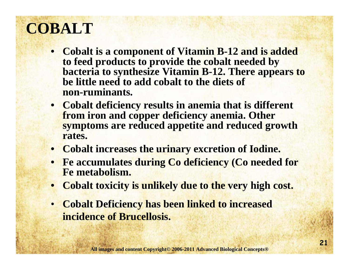## **COBALT**

- **Cobalt is a component of Vitamin B-12 and is added to feed products to provide the cobalt needed by bacteria to synthesize Vitamin B-12. There appears to be little need to add cobalt to the diets of non-ruminants.**
- **Cobalt deficiency results in anemia that is different from iron and copper deficiency anemia. Other symptoms are reduced appetite and reduced growth rates.**
- **Cobalt increases the urinary excretion of Iodine.**
- **Fe accumulates during Co deficiency (Co needed for Fe metabolism.**
- •**Cobalt toxicity is unlikely due to the very high cost.**
- • **Cobalt Deficiency has been linked to increased incidence of Brucellosis.**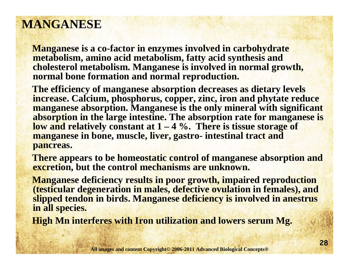#### **MANGANESE**

**Manganese is a co-factor in enzymes involved in carbohydrate metabolism, amino acid metabolism, fatty acid synthesis and cholesterol metabolism. Manganese is involved in normal growth, normal bone formation and normal reproduction.** 

**The efficiency of manganese absorption decreases as dietary levels increase. Calcium, phosphorus, copper, zinc, iron and phytate reduce manganese absorption. Manganese is the only mineral with significant absorption in the large intestine. The absorption rate for manganese is low and relatively constant at 1 – 4 %. There is tissue storage of manganese in bone, muscle, liver, gastro- intestinal tract and pancreas.** 

**There appears to be homeostatic control of manganese absorption and excretion, but the control mechanisms are unknown.**

**Manganese deficiency results in poor growth, impaired reproduction (testicular degeneration in males, defective ovulation in females), and slipped tendon in birds. Manganese deficiency is involved in anestrus in all species.** 

**High Mn interferes with Iron utilization and lowers serum Mg.**